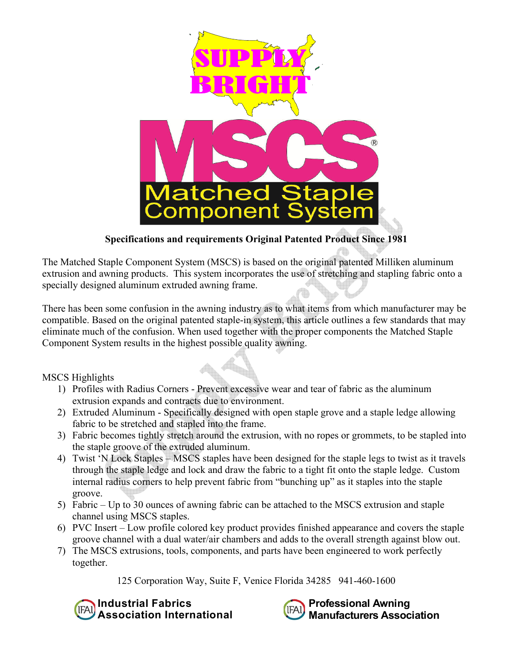

# **Specifications and requirements Original Patented Product Since 1981**

The Matched Staple Component System (MSCS) is based on the original patented Milliken aluminum extrusion and awning products. This system incorporates the use of stretching and stapling fabric onto a specially designed aluminum extruded awning frame.

There has been some confusion in the awning industry as to what items from which manufacturer may be compatible. Based on the original patented staple-in system, this article outlines a few standards that may eliminate much of the confusion. When used together with the proper components the Matched Staple Component System results in the highest possible quality awning.

MSCS Highlights

- 1) Profiles with Radius Corners Prevent excessive wear and tear of fabric as the aluminum extrusion expands and contracts due to environment.
- 2) Extruded Aluminum Specifically designed with open staple grove and a staple ledge allowing fabric to be stretched and stapled into the frame.
- 3) Fabric becomes tightly stretch around the extrusion, with no ropes or grommets, to be stapled into the staple groove of the extruded aluminum.
- 4) Twist 'N Lock Staples MSCS staples have been designed for the staple legs to twist as it travels through the staple ledge and lock and draw the fabric to a tight fit onto the staple ledge. Custom internal radius corners to help prevent fabric from "bunching up" as it staples into the staple groove.
- 5) Fabric Up to 30 ounces of awning fabric can be attached to the MSCS extrusion and staple channel using MSCS staples.
- 6) PVC Insert Low profile colored key product provides finished appearance and covers the staple groove channel with a dual water/air chambers and adds to the overall strength against blow out.
- 7) The MSCS extrusions, tools, components, and parts have been engineered to work perfectly together.

125 Corporation Way, Suite F, Venice Florida 34285 941-460-1600



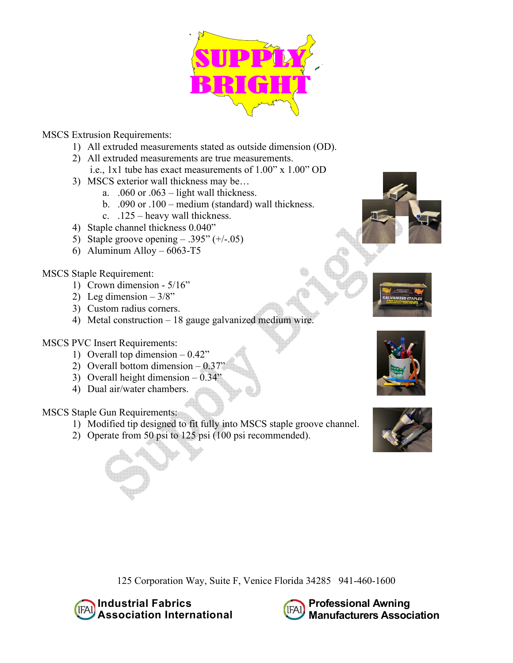

## MSCS Extrusion Requirements:

- 1) All extruded measurements stated as outside dimension (OD).
- 2) All extruded measurements are true measurements.
	- i.e., 1x1 tube has exact measurements of 1.00" x 1.00" OD
- 3) MSCS exterior wall thickness may be…
	- a. .060 or .063 light wall thickness.
	- b. .090 or .100 medium (standard) wall thickness.
	- c. .125 heavy wall thickness.
- 4) Staple channel thickness 0.040"
- 5) Staple groove opening  $.395" (+/-05)$
- 6) Aluminum Alloy  $6063 T5$

#### MSCS Staple Requirement:

- 1) Crown dimension 5/16"
- 2) Leg dimension  $-3/8$ "
- 3) Custom radius corners.
- 4) Metal construction 18 gauge galvanized medium wire.

## MSCS PVC Insert Requirements:

- 1) Overall top dimension 0.42"
- 2) Overall bottom dimension  $-0.37"$
- 3) Overall height dimension  $-0.34"$
- 4) Dual air/water chambers.

## MSCS Staple Gun Requirements:

- 1) Modified tip designed to fit fully into MSCS staple groove channel.
- 2) Operate from 50 psi to 125 psi (100 psi recommended).







125 Corporation Way, Suite F, Venice Florida 34285 941-460-1600



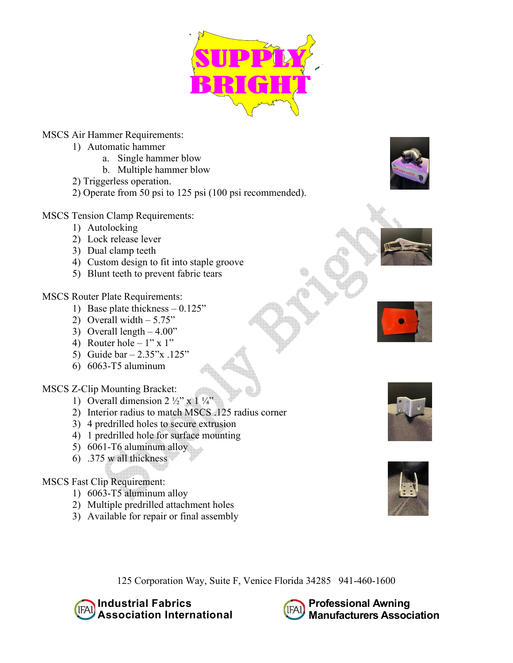

MSCS Air Hammer Requirements:

- 1) Automatic hammer
	- a. Single hammer blow
	- b. Multiple hammer blow
- 2) Triggerless operation.
- 2) Operate from 50 psi to 125 psi (100 psi recommended).
- MSCS Tension Clamp Requirements:
	- 1) Autolocking
	- 2) Lock release lever
	- 3) Dual clamp teeth
	- 4) Custom design to fit into staple groove
	- 5) Blunt teeth to prevent fabric tears

MSCS Router Plate Requirements:

- 1) Base plate thickness 0.125"
- 2) Overall width  $-5.75"$
- 3) Overall length  $-4.00$ "
- 4) Router hole  $1" \times 1"$
- 5) Guide bar 2.35"x .125"
- 6) 6063-T5 aluminum

## MSCS Z-Clip Mounting Bracket:

- 1) Overall dimension  $2 \frac{1}{2}$ " x  $1 \frac{1}{4}$ "
- 2) Interior radius to match MSCS .125 radius corner
- 3) 4 predrilled holes to secure extrusion
- 4) 1 predrilled hole for surface mounting
- 5) 6061-T6 aluminum alloy
- 6) .375 w all thickness

## MSCS Fast Clip Requirement:

- 1) 6063-T5 aluminum alloy
- 2) Multiple predrilled attachment holes
- 3) Available for repair or final assembly









125 Corporation Way, Suite F, Venice Florida 34285 941-460-1600